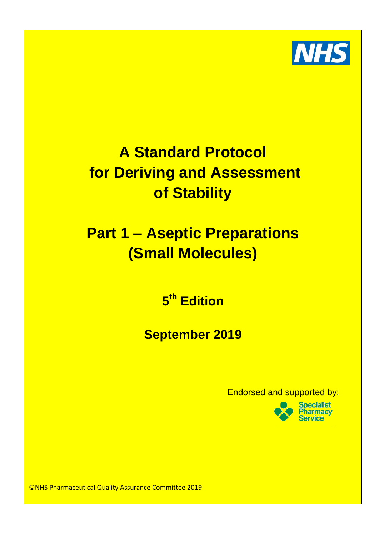

# **For Deriving and Assessment and the remit of the remit of the remit of the remit of the remit of the remit of the remit of the remit of the remit of the remit of the remit of the remit of the remit of the remit of the rem** Chief Pharmacist (or similar title e.g. Clinical Director of Pharmacy) as the person responsible for the safe use and custody of medicines within that organisation. **of Stability A Standard Protocol**

## making a medical diagnosis or to restoring or model or model or model or model or model or model or model or m **functions** in the human beings of an image of animals of  $\mathbf{P}$ **radiopharmaceutical (Small Molecules)**  $U$ sual practice for process would be for process would be for the Pharmacy Department of  $\mathcal{D}$

are often purchased, received and stored outside of pharmacy assumption of  $\mathbf{d}$ 1. The medicines in this case are radioactive and need to be stored in controlled **5 th Edition**

2. The products are often purchased for use the same day, and are regularly used for manufacture or dispatched before the Pharmacy department is open. **September 2019** 3. The ordering requires specialist knowledge of decay profiles of each isotope.

department itself should there no be a Radiopharmacy on site. It is important to important to remember that even when the ordering and receipt functions are carried out  $\mathsf{Endorsed}$  and supported by:



©NHS Pharmaceutical Quality Assurance Committee 2019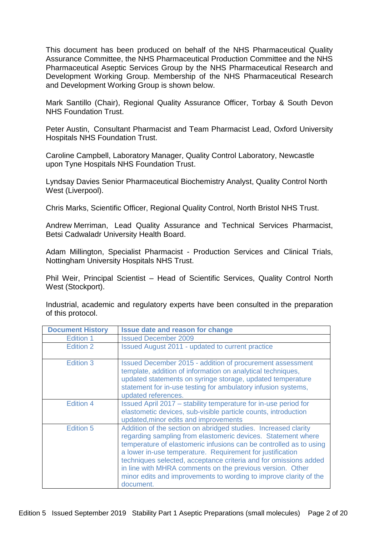This document has been produced on behalf of the NHS Pharmaceutical Quality Assurance Committee, the NHS Pharmaceutical Production Committee and the NHS Pharmaceutical Aseptic Services Group by the NHS Pharmaceutical Research and Development Working Group. Membership of the NHS Pharmaceutical Research and Development Working Group is shown below.

Mark Santillo (Chair), Regional Quality Assurance Officer, Torbay & South Devon NHS Foundation Trust.

Peter Austin, Consultant Pharmacist and Team Pharmacist Lead, Oxford University Hospitals NHS Foundation Trust.

Caroline Campbell, Laboratory Manager, Quality Control Laboratory, Newcastle upon Tyne Hospitals NHS Foundation Trust.

Lyndsay Davies Senior Pharmaceutical Biochemistry Analyst, Quality Control North West (Liverpool).

Chris Marks, Scientific Officer, Regional Quality Control, North Bristol NHS Trust.

Andrew Merriman, Lead Quality Assurance and Technical Services Pharmacist, Betsi Cadwaladr University Health Board.

Adam Millington, Specialist Pharmacist - Production Services and Clinical Trials, Nottingham University Hospitals NHS Trust.

Phil Weir, Principal Scientist – Head of Scientific Services, Quality Control North West (Stockport).

Industrial, academic and regulatory experts have been consulted in the preparation of this protocol.

| <b>Document History</b> | <b>Issue date and reason for change</b>                                                                                                                                                                                                                                                                                                                                                                                                                                              |  |
|-------------------------|--------------------------------------------------------------------------------------------------------------------------------------------------------------------------------------------------------------------------------------------------------------------------------------------------------------------------------------------------------------------------------------------------------------------------------------------------------------------------------------|--|
| Edition 1               | <b>Issued December 2009</b>                                                                                                                                                                                                                                                                                                                                                                                                                                                          |  |
| Edition 2               | <b>Issued August 2011 - updated to current practice</b>                                                                                                                                                                                                                                                                                                                                                                                                                              |  |
| Edition 3               | Issued December 2015 - addition of procurement assessment<br>template, addition of information on analytical techniques,<br>updated statements on syringe storage, updated temperature<br>statement for in-use testing for ambulatory infusion systems,<br>updated references.                                                                                                                                                                                                       |  |
| <b>Edition 4</b>        | Issued April 2017 – stability temperature for in-use period for<br>elastometic devices, sub-visible particle counts, introduction<br>updated, minor edits and improvements                                                                                                                                                                                                                                                                                                           |  |
| <b>Edition 5</b>        | Addition of the section on abridged studies. Increased clarity<br>regarding sampling from elastomeric devices. Statement where<br>temperature of elastomeric infusions can be controlled as to using<br>a lower in-use temperature. Requirement for justification<br>techniques selected, acceptance criteria and for omissions added<br>in line with MHRA comments on the previous version. Other<br>minor edits and improvements to wording to improve clarity of the<br>document. |  |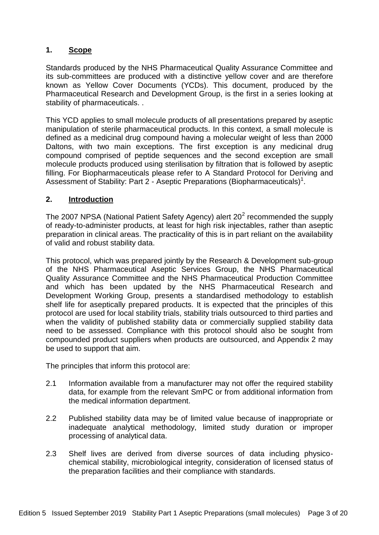## **1. Scope**

Standards produced by the NHS Pharmaceutical Quality Assurance Committee and its sub-committees are produced with a distinctive yellow cover and are therefore known as Yellow Cover Documents (YCDs). This document, produced by the Pharmaceutical Research and Development Group, is the first in a series looking at stability of pharmaceuticals. .

This YCD applies to small molecule products of all presentations prepared by aseptic manipulation of sterile pharmaceutical products. In this context, a small molecule is defined as a medicinal drug compound having a molecular weight of less than 2000 Daltons, with two main exceptions. The first exception is any medicinal drug compound comprised of peptide sequences and the second exception are small molecule products produced using sterilisation by filtration that is followed by aseptic filling. For Biopharmaceuticals please refer to A Standard Protocol for Deriving and Assessment of Stability: Part 2 - Aseptic Preparations (Biopharmaceuticals)<sup>1</sup>.

## **2. Introduction**

The 2007 NPSA (National Patient Safety Agency) alert 20<sup>2</sup> recommended the supply of ready-to-administer products, at least for high risk injectables, rather than aseptic preparation in clinical areas. The practicality of this is in part reliant on the availability of valid and robust stability data.

This protocol, which was prepared jointly by the Research & Development sub-group of the NHS Pharmaceutical Aseptic Services Group, the NHS Pharmaceutical Quality Assurance Committee and the NHS Pharmaceutical Production Committee and which has been updated by the NHS Pharmaceutical Research and Development Working Group, presents a standardised methodology to establish shelf life for aseptically prepared products. It is expected that the principles of this protocol are used for local stability trials, stability trials outsourced to third parties and when the validity of published stability data or commercially supplied stability data need to be assessed. Compliance with this protocol should also be sought from compounded product suppliers when products are outsourced, and Appendix 2 may be used to support that aim.

The principles that inform this protocol are:

- 2.1 Information available from a manufacturer may not offer the required stability data, for example from the relevant SmPC or from additional information from the medical information department.
- 2.2 Published stability data may be of limited value because of inappropriate or inadequate analytical methodology, limited study duration or improper processing of analytical data.
- 2.3 Shelf lives are derived from diverse sources of data including physicochemical stability, microbiological integrity, consideration of licensed status of the preparation facilities and their compliance with standards.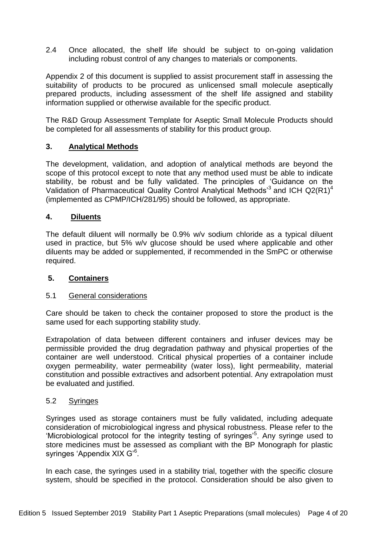2.4 Once allocated, the shelf life should be subject to on-going validation including robust control of any changes to materials or components.

Appendix 2 of this document is supplied to assist procurement staff in assessing the suitability of products to be procured as unlicensed small molecule aseptically prepared products, including assessment of the shelf life assigned and stability information supplied or otherwise available for the specific product.

The R&D Group Assessment Template for Aseptic Small Molecule Products should be completed for all assessments of stability for this product group.

## **3. Analytical Methods**

The development, validation, and adoption of analytical methods are beyond the scope of this protocol except to note that any method used must be able to indicate stability, be robust and be fully validated. The principles of 'Guidance on the Validation of Pharmaceutical Quality Control Analytical Methods<sup>3</sup> and ICH Q2(R1)<sup>4</sup> (implemented as CPMP/ICH/281/95) should be followed, as appropriate.

## **4. Diluents**

The default diluent will normally be 0.9% w/v sodium chloride as a typical diluent used in practice, but 5% w/v glucose should be used where applicable and other diluents may be added or supplemented, if recommended in the SmPC or otherwise required.

## **5. Containers**

#### 5.1 General considerations

Care should be taken to check the container proposed to store the product is the same used for each supporting stability study.

Extrapolation of data between different containers and infuser devices may be permissible provided the drug degradation pathway and physical properties of the container are well understood. Critical physical properties of a container include oxygen permeability, water permeability (water loss), light permeability, material constitution and possible extractives and adsorbent potential. Any extrapolation must be evaluated and justified.

#### 5.2 Syringes

Syringes used as storage containers must be fully validated, including adequate consideration of microbiological ingress and physical robustness. Please refer to the 'Microbiological protocol for the integrity testing of syringes'<sup>5</sup>. Any syringe used to store medicines must be assessed as compliant with the BP Monograph for plastic syringes 'Appendix XIX G'<sup>6</sup>.

In each case, the syringes used in a stability trial, together with the specific closure system, should be specified in the protocol. Consideration should be also given to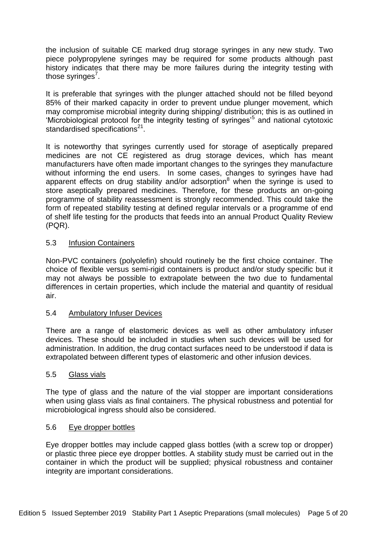the inclusion of suitable CE marked drug storage syringes in any new study. Two piece polypropylene syringes may be required for some products although past history indicates that there may be more failures during the integrity testing with those syringes<sup>7</sup>.

It is preferable that syringes with the plunger attached should not be filled beyond 85% of their marked capacity in order to prevent undue plunger movement, which may compromise microbial integrity during shipping/ distribution; this is as outlined in 'Microbiological protocol for the integrity testing of syringes<sup>5</sup> and national cytotoxic standardised specifications $2^1$ .

It is noteworthy that syringes currently used for storage of aseptically prepared medicines are not CE registered as drug storage devices, which has meant manufacturers have often made important changes to the syringes they manufacture without informing the end users. In some cases, changes to syringes have had apparent effects on drug stability and/or adsorption<sup>8</sup> when the syringe is used to store aseptically prepared medicines. Therefore, for these products an on-going programme of stability reassessment is strongly recommended. This could take the form of repeated stability testing at defined regular intervals or a programme of end of shelf life testing for the products that feeds into an annual Product Quality Review (PQR).

## 5.3 Infusion Containers

Non-PVC containers (polyolefin) should routinely be the first choice container. The choice of flexible versus semi-rigid containers is product and/or study specific but it may not always be possible to extrapolate between the two due to fundamental differences in certain properties, which include the material and quantity of residual air.

#### 5.4 Ambulatory Infuser Devices

There are a range of elastomeric devices as well as other ambulatory infuser devices. These should be included in studies when such devices will be used for administration. In addition, the drug contact surfaces need to be understood if data is extrapolated between different types of elastomeric and other infusion devices.

#### 5.5 Glass vials

The type of glass and the nature of the vial stopper are important considerations when using glass vials as final containers. The physical robustness and potential for microbiological ingress should also be considered.

## 5.6 Eye dropper bottles

Eye dropper bottles may include capped glass bottles (with a screw top or dropper) or plastic three piece eye dropper bottles. A stability study must be carried out in the container in which the product will be supplied; physical robustness and container integrity are important considerations.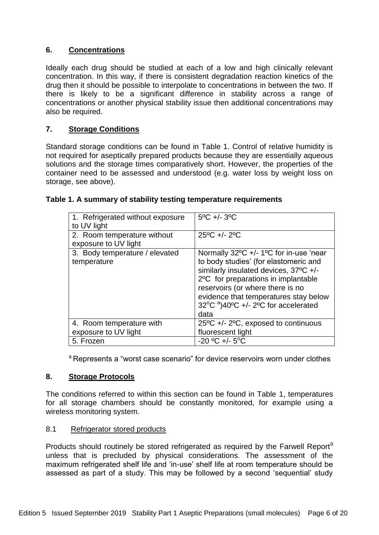## **6. Concentrations**

Ideally each drug should be studied at each of a low and high clinically relevant concentration. In this way, if there is consistent degradation reaction kinetics of the drug then it should be possible to interpolate to concentrations in between the two. If there is likely to be a significant difference in stability across a range of concentrations or another physical stability issue then additional concentrations may also be required.

## **7. Storage Conditions**

Standard storage conditions can be found in Table 1. Control of relative humidity is not required for aseptically prepared products because they are essentially aqueous solutions and the storage times comparatively short. However, the properties of the container need to be assessed and understood (e.g. water loss by weight loss on storage, see above).

| 1. Refrigerated without exposure | $5^{\circ}$ C +/- $3^{\circ}$ C                                                 |
|----------------------------------|---------------------------------------------------------------------------------|
| to UV light                      |                                                                                 |
| 2. Room temperature without      | $25^{\circ}$ C +/- $2^{\circ}$ C                                                |
| exposure to UV light             |                                                                                 |
| 3. Body temperature / elevated   | Normally 32°C +/- 1°C for in-use 'near                                          |
| temperature                      | to body studies' (for elastomeric and                                           |
|                                  | similarly insulated devices, 37°C +/-                                           |
|                                  | 2°C for preparations in implantable                                             |
|                                  | reservoirs (or where there is no                                                |
|                                  | evidence that temperatures stay below                                           |
|                                  | $32^{\circ}$ C <sup>a</sup> )40 $^{\circ}$ C +/- 2 $^{\circ}$ C for accelerated |
|                                  | data                                                                            |
| 4. Room temperature with         | $25^{\circ}$ C +/- $2^{\circ}$ C, exposed to continuous                         |
| exposure to UV light             | fluorescent light                                                               |
| 5. Frozen                        | $-20$ °C +/- 5°C                                                                |

#### **Table 1. A summary of stability testing temperature requirements**

<sup>a</sup> Represents a "worst case scenario" for device reservoirs worn under clothes

#### **8. Storage Protocols**

The conditions referred to within this section can be found in Table 1, temperatures for all storage chambers should be constantly monitored, for example using a wireless monitoring system.

#### 8.1 Refrigerator stored products

Products should routinely be stored refrigerated as required by the Farwell Report<sup>9</sup> unless that is precluded by physical considerations. The assessment of the maximum refrigerated shelf life and 'in-use' shelf life at room temperature should be assessed as part of a study. This may be followed by a second 'sequential' study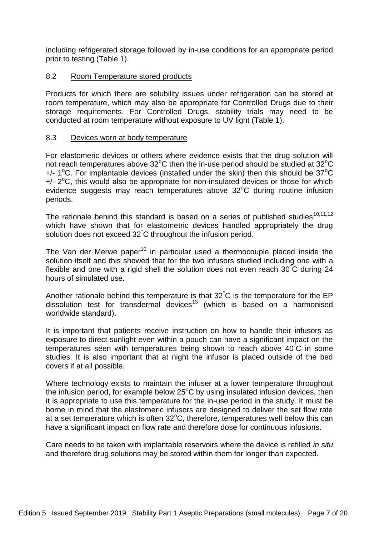including refrigerated storage followed by in-use conditions for an appropriate period prior to testing (Table 1).

## 8.2 Room Temperature stored products

Products for which there are solubility issues under refrigeration can be stored at room temperature, which may also be appropriate for Controlled Drugs due to their storage requirements. For Controlled Drugs, stability trials may need to be conducted at room temperature without exposure to UV light (Table 1).

## 8.3 Devices worn at body temperature

For elastomeric devices or others where evidence exists that the drug solution will not reach temperatures above  $32^{\circ}$ C then the in-use period should be studied at  $32^{\circ}$ C  $+/-$  1<sup>o</sup>C. For implantable devices (installed under the skin) then this should be 37<sup>o</sup>C +/- 2°C, this would also be appropriate for non-insulated devices or those for which evidence suggests may reach temperatures above  $32^{\circ}$ C during routine infusion periods.

The rationale behind this standard is based on a series of published studies<sup>10,11,12</sup> which have shown that for elastometric devices handled appropriately the drug solution does not exceed 32°C throughout the infusion period.

The Van der Merwe paper<sup>10</sup> in particular used a thermocouple placed inside the solution itself and this showed that for the two infusors studied including one with a flexible and one with a rigid shell the solution does not even reach 30°C during 24 hours of simulated use.

Another rationale behind this temperature is that 32°C is the temperature for the EP dissolution test for transdermal devices<sup>13</sup> (which is based on a harmonised worldwide standard).

It is important that patients receive instruction on how to handle their infusors as exposure to direct sunlight even within a pouch can have a significant impact on the temperatures seen with temperatures being shown to reach above 40°C in some studies. It is also important that at night the infusor is placed outside of the bed covers if at all possible.

Where technology exists to maintain the infuser at a lower temperature throughout the infusion period, for example below  $25^{\circ}$ C by using insulated infusion devices, then it is appropriate to use this temperature for the in-use period in the study. It must be borne in mind that the elastomeric infusors are designed to deliver the set flow rate at a set temperature which is often  $32^{\circ}$ C, therefore, temperatures well below this can have a significant impact on flow rate and therefore dose for continuous infusions.

Care needs to be taken with implantable reservoirs where the device is refilled *in situ* and therefore drug solutions may be stored within them for longer than expected.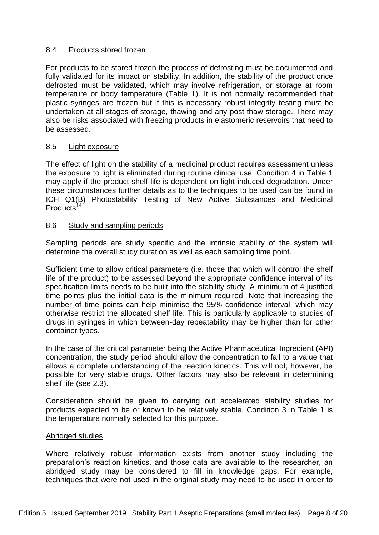## 8.4 Products stored frozen

For products to be stored frozen the process of defrosting must be documented and fully validated for its impact on stability. In addition, the stability of the product once defrosted must be validated, which may involve refrigeration, or storage at room temperature or body temperature (Table 1). It is not normally recommended that plastic syringes are frozen but if this is necessary robust integrity testing must be undertaken at all stages of storage, thawing and any post thaw storage. There may also be risks associated with freezing products in elastomeric reservoirs that need to be assessed.

## 8.5 Light exposure

The effect of light on the stability of a medicinal product requires assessment unless the exposure to light is eliminated during routine clinical use. Condition 4 in Table 1 may apply if the product shelf life is dependent on light induced degradation. Under these circumstances further details as to the techniques to be used can be found in ICH Q1(B) Photostability Testing of New Active Substances and Medicinal Products<sup>14</sup>.

#### 8.6 Study and sampling periods

Sampling periods are study specific and the intrinsic stability of the system will determine the overall study duration as well as each sampling time point.

Sufficient time to allow critical parameters (i.e. those that which will control the shelf life of the product) to be assessed beyond the appropriate confidence interval of its specification limits needs to be built into the stability study. A minimum of 4 justified time points plus the initial data is the minimum required. Note that increasing the number of time points can help minimise the 95% confidence interval, which may otherwise restrict the allocated shelf life. This is particularly applicable to studies of drugs in syringes in which between-day repeatability may be higher than for other container types.

In the case of the critical parameter being the Active Pharmaceutical Ingredient (API) concentration, the study period should allow the concentration to fall to a value that allows a complete understanding of the reaction kinetics. This will not, however, be possible for very stable drugs. Other factors may also be relevant in determining shelf life (see 2.3).

Consideration should be given to carrying out accelerated stability studies for products expected to be or known to be relatively stable. Condition 3 in Table 1 is the temperature normally selected for this purpose.

#### Abridged studies

Where relatively robust information exists from another study including the preparation's reaction kinetics, and those data are available to the researcher, an abridged study may be considered to fill in knowledge gaps. For example, techniques that were not used in the original study may need to be used in order to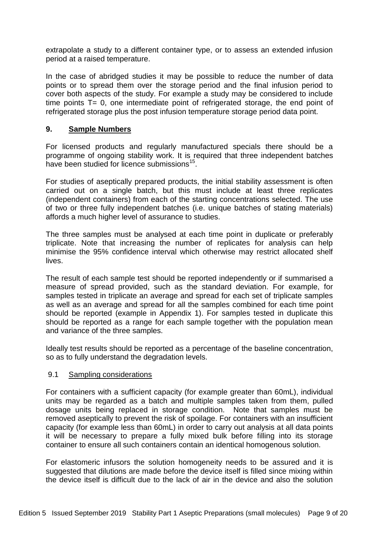extrapolate a study to a different container type, or to assess an extended infusion period at a raised temperature.

In the case of abridged studies it may be possible to reduce the number of data points or to spread them over the storage period and the final infusion period to cover both aspects of the study. For example a study may be considered to include time points  $T= 0$ , one intermediate point of refrigerated storage, the end point of refrigerated storage plus the post infusion temperature storage period data point.

## **9. Sample Numbers**

For licensed products and regularly manufactured specials there should be a programme of ongoing stability work. It is required that three independent batches have been studied for licence submissions<sup>15</sup>.

For studies of aseptically prepared products, the initial stability assessment is often carried out on a single batch, but this must include at least three replicates (independent containers) from each of the starting concentrations selected. The use of two or three fully independent batches (i.e. unique batches of stating materials) affords a much higher level of assurance to studies.

The three samples must be analysed at each time point in duplicate or preferably triplicate. Note that increasing the number of replicates for analysis can help minimise the 95% confidence interval which otherwise may restrict allocated shelf lives.

The result of each sample test should be reported independently or if summarised a measure of spread provided, such as the standard deviation. For example, for samples tested in triplicate an average and spread for each set of triplicate samples as well as an average and spread for all the samples combined for each time point should be reported (example in Appendix 1). For samples tested in duplicate this should be reported as a range for each sample together with the population mean and variance of the three samples.

Ideally test results should be reported as a percentage of the baseline concentration, so as to fully understand the degradation levels.

## 9.1 Sampling considerations

For containers with a sufficient capacity (for example greater than 60mL), individual units may be regarded as a batch and multiple samples taken from them, pulled dosage units being replaced in storage condition. Note that samples must be removed aseptically to prevent the risk of spoilage. For containers with an insufficient capacity (for example less than 60mL) in order to carry out analysis at all data points it will be necessary to prepare a fully mixed bulk before filling into its storage container to ensure all such containers contain an identical homogenous solution.

For elastomeric infusors the solution homogeneity needs to be assured and it is suggested that dilutions are made before the device itself is filled since mixing within the device itself is difficult due to the lack of air in the device and also the solution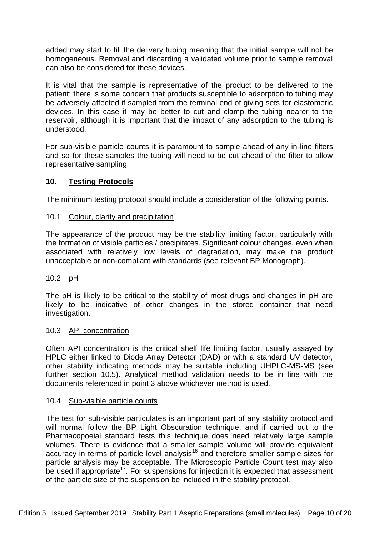added may start to fill the delivery tubing meaning that the initial sample will not be homogeneous. Removal and discarding a validated volume prior to sample removal can also be considered for these devices.

It is vital that the sample is representative of the product to be delivered to the patient; there is some concern that products susceptible to adsorption to tubing may be adversely affected if sampled from the terminal end of giving sets for elastomeric devices. In this case it may be better to cut and clamp the tubing nearer to the reservoir, although it is important that the impact of any adsorption to the tubing is understood.

For sub-visible particle counts it is paramount to sample ahead of any in-line filters and so for these samples the tubing will need to be cut ahead of the filter to allow representative sampling.

## **10. Testing Protocols**

The minimum testing protocol should include a consideration of the following points.

## 10.1 Colour, clarity and precipitation

The appearance of the product may be the stability limiting factor, particularly with the formation of visible particles / precipitates. Significant colour changes, even when associated with relatively low levels of degradation, may make the product unacceptable or non-compliant with standards (see relevant BP Monograph).

## 10.2 pH

The pH is likely to be critical to the stability of most drugs and changes in pH are likely to be indicative of other changes in the stored container that need investigation.

#### 10.3 API concentration

Often API concentration is the critical shelf life limiting factor, usually assayed by HPLC either linked to Diode Array Detector (DAD) or with a standard UV detector, other stability indicating methods may be suitable including UHPLC-MS-MS (see further section 10.5). Analytical method validation needs to be in line with the documents referenced in point 3 above whichever method is used.

#### 10.4 Sub-visible particle counts

The test for sub-visible particulates is an important part of any stability protocol and will normal follow the BP Light Obscuration technique, and if carried out to the Pharmacopoeial standard tests this technique does need relatively large sample volumes. There is evidence that a smaller sample volume will provide equivalent accuracy in terms of particle level analysis<sup>16</sup> and therefore smaller sample sizes for particle analysis may be acceptable. The Microscopic Particle Count test may also be used if appropriate<sup>17</sup>. For suspensions for injection it is expected that assessment of the particle size of the suspension be included in the stability protocol.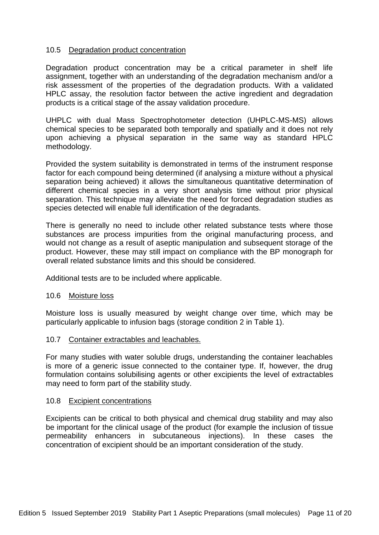#### 10.5 Degradation product concentration

Degradation product concentration may be a critical parameter in shelf life assignment, together with an understanding of the degradation mechanism and/or a risk assessment of the properties of the degradation products. With a validated HPLC assay, the resolution factor between the active ingredient and degradation products is a critical stage of the assay validation procedure.

UHPLC with dual Mass Spectrophotometer detection (UHPLC-MS-MS) allows chemical species to be separated both temporally and spatially and it does not rely upon achieving a physical separation in the same way as standard HPLC methodology.

Provided the system suitability is demonstrated in terms of the instrument response factor for each compound being determined (if analysing a mixture without a physical separation being achieved) it allows the simultaneous quantitative determination of different chemical species in a very short analysis time without prior physical separation. This technique may alleviate the need for forced degradation studies as species detected will enable full identification of the degradants.

There is generally no need to include other related substance tests where those substances are process impurities from the original manufacturing process, and would not change as a result of aseptic manipulation and subsequent storage of the product. However, these may still impact on compliance with the BP monograph for overall related substance limits and this should be considered.

Additional tests are to be included where applicable.

#### 10.6 Moisture loss

Moisture loss is usually measured by weight change over time, which may be particularly applicable to infusion bags (storage condition 2 in Table 1).

#### 10.7 Container extractables and leachables.

For many studies with water soluble drugs, understanding the container leachables is more of a generic issue connected to the container type. If, however, the drug formulation contains solubilising agents or other excipients the level of extractables may need to form part of the stability study.

#### 10.8 Excipient concentrations

Excipients can be critical to both physical and chemical drug stability and may also be important for the clinical usage of the product (for example the inclusion of tissue permeability enhancers in subcutaneous injections). In these cases the concentration of excipient should be an important consideration of the study.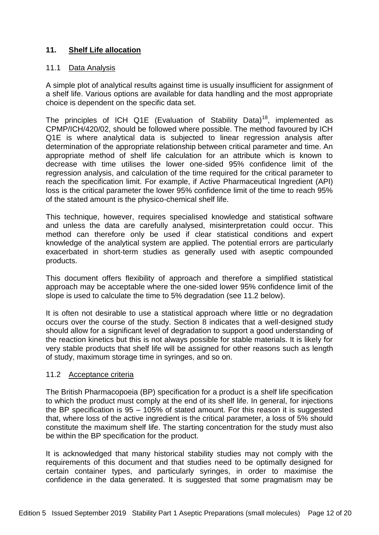## **11. Shelf Life allocation**

#### 11.1 Data Analysis

A simple plot of analytical results against time is usually insufficient for assignment of a shelf life. Various options are available for data handling and the most appropriate choice is dependent on the specific data set.

The principles of ICH Q1E (Evaluation of Stability Data)<sup>18</sup>, implemented as CPMP/ICH/420/02, should be followed where possible. The method favoured by ICH Q1E is where analytical data is subjected to linear regression analysis after determination of the appropriate relationship between critical parameter and time. An appropriate method of shelf life calculation for an attribute which is known to decrease with time utilises the lower one-sided 95% confidence limit of the regression analysis, and calculation of the time required for the critical parameter to reach the specification limit. For example, if Active Pharmaceutical Ingredient (API) loss is the critical parameter the lower 95% confidence limit of the time to reach 95% of the stated amount is the physico-chemical shelf life.

This technique, however, requires specialised knowledge and statistical software and unless the data are carefully analysed, misinterpretation could occur. This method can therefore only be used if clear statistical conditions and expert knowledge of the analytical system are applied. The potential errors are particularly exacerbated in short-term studies as generally used with aseptic compounded products.

This document offers flexibility of approach and therefore a simplified statistical approach may be acceptable where the one-sided lower 95% confidence limit of the slope is used to calculate the time to 5% degradation (see 11.2 below).

It is often not desirable to use a statistical approach where little or no degradation occurs over the course of the study. Section 8 indicates that a well-designed study should allow for a significant level of degradation to support a good understanding of the reaction kinetics but this is not always possible for stable materials. It is likely for very stable products that shelf life will be assigned for other reasons such as length of study, maximum storage time in syringes, and so on.

#### 11.2 Acceptance criteria

The British Pharmacopoeia (BP) specification for a product is a shelf life specification to which the product must comply at the end of its shelf life. In general, for injections the BP specification is 95 – 105% of stated amount. For this reason it is suggested that, where loss of the active ingredient is the critical parameter, a loss of 5% should constitute the maximum shelf life. The starting concentration for the study must also be within the BP specification for the product.

It is acknowledged that many historical stability studies may not comply with the requirements of this document and that studies need to be optimally designed for certain container types, and particularly syringes, in order to maximise the confidence in the data generated. It is suggested that some pragmatism may be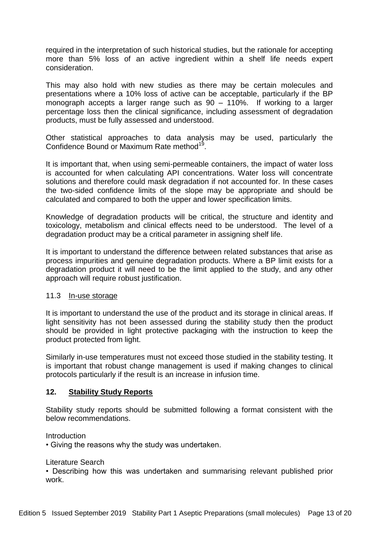required in the interpretation of such historical studies, but the rationale for accepting more than 5% loss of an active ingredient within a shelf life needs expert consideration.

This may also hold with new studies as there may be certain molecules and presentations where a 10% loss of active can be acceptable, particularly if the BP monograph accepts a larger range such as 90 – 110%. If working to a larger percentage loss then the clinical significance, including assessment of degradation products, must be fully assessed and understood.

Other statistical approaches to data analysis may be used, particularly the Confidence Bound or Maximum Rate method<sup>19</sup>.

It is important that, when using semi-permeable containers, the impact of water loss is accounted for when calculating API concentrations. Water loss will concentrate solutions and therefore could mask degradation if not accounted for. In these cases the two-sided confidence limits of the slope may be appropriate and should be calculated and compared to both the upper and lower specification limits.

Knowledge of degradation products will be critical, the structure and identity and toxicology, metabolism and clinical effects need to be understood. The level of a degradation product may be a critical parameter in assigning shelf life.

It is important to understand the difference between related substances that arise as process impurities and genuine degradation products. Where a BP limit exists for a degradation product it will need to be the limit applied to the study, and any other approach will require robust justification.

#### 11.3 In-use storage

It is important to understand the use of the product and its storage in clinical areas. If light sensitivity has not been assessed during the stability study then the product should be provided in light protective packaging with the instruction to keep the product protected from light.

Similarly in-use temperatures must not exceed those studied in the stability testing. It is important that robust change management is used if making changes to clinical protocols particularly if the result is an increase in infusion time.

## **12. Stability Study Reports**

Stability study reports should be submitted following a format consistent with the below recommendations.

**Introduction** 

• Giving the reasons why the study was undertaken.

Literature Search

• Describing how this was undertaken and summarising relevant published prior work.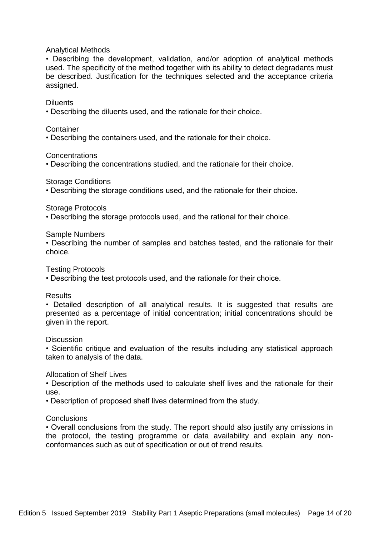#### Analytical Methods

• Describing the development, validation, and/or adoption of analytical methods used. The specificity of the method together with its ability to detect degradants must be described. Justification for the techniques selected and the acceptance criteria assigned.

#### Diluents

• Describing the diluents used, and the rationale for their choice.

#### **Container**

• Describing the containers used, and the rationale for their choice.

**Concentrations** 

• Describing the concentrations studied, and the rationale for their choice.

Storage Conditions

• Describing the storage conditions used, and the rationale for their choice.

#### Storage Protocols

• Describing the storage protocols used, and the rational for their choice.

Sample Numbers

• Describing the number of samples and batches tested, and the rationale for their choice.

Testing Protocols

• Describing the test protocols used, and the rationale for their choice.

#### **Results**

• Detailed description of all analytical results. It is suggested that results are presented as a percentage of initial concentration; initial concentrations should be given in the report.

#### **Discussion**

• Scientific critique and evaluation of the results including any statistical approach taken to analysis of the data.

#### Allocation of Shelf Lives

• Description of the methods used to calculate shelf lives and the rationale for their use.

• Description of proposed shelf lives determined from the study.

#### **Conclusions**

• Overall conclusions from the study. The report should also justify any omissions in the protocol, the testing programme or data availability and explain any nonconformances such as out of specification or out of trend results.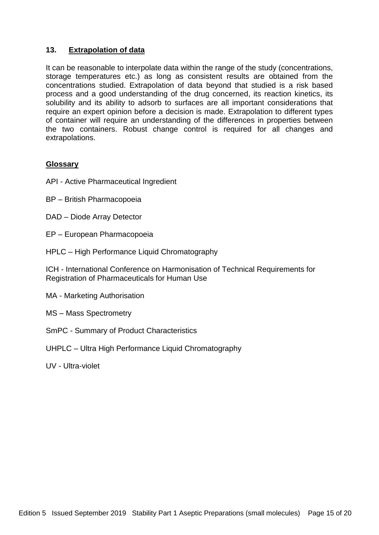## **13. Extrapolation of data**

It can be reasonable to interpolate data within the range of the study (concentrations, storage temperatures etc.) as long as consistent results are obtained from the concentrations studied. Extrapolation of data beyond that studied is a risk based process and a good understanding of the drug concerned, its reaction kinetics, its solubility and its ability to adsorb to surfaces are all important considerations that require an expert opinion before a decision is made. Extrapolation to different types of container will require an understanding of the differences in properties between the two containers. Robust change control is required for all changes and extrapolations.

#### **Glossary**

- API Active Pharmaceutical Ingredient
- BP British Pharmacopoeia
- DAD Diode Array Detector
- EP European Pharmacopoeia
- HPLC High Performance Liquid Chromatography

ICH - International Conference on Harmonisation of Technical Requirements for Registration of Pharmaceuticals for Human Use

- MA Marketing Authorisation
- MS Mass Spectrometry
- SmPC Summary of Product Characteristics
- UHPLC Ultra High Performance Liquid Chromatography
- UV Ultra-violet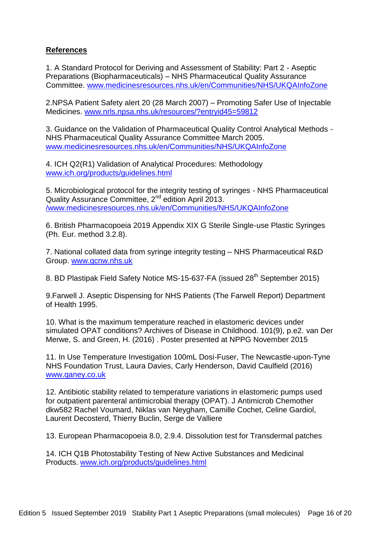## **References**

1. A Standard Protocol for Deriving and Assessment of Stability: Part 2 - Aseptic Preparations (Biopharmaceuticals) – NHS Pharmaceutical Quality Assurance Committee. [www.medicinesresources.nhs.uk/en/Communities/NHS/UKQAInfoZone](http://www.medicinesresources.nhs.uk/en/Communities/NHS/UKQAInfoZone)

2.NPSA Patient Safety alert 20 (28 March 2007) – Promoting Safer Use of Injectable Medicines. [www.nrls.npsa.nhs.uk/resources/?entryid45=59812](http://www.nrls.npsa.nhs.uk/resources/?entryid45=59812)

3. Guidance on the Validation of Pharmaceutical Quality Control Analytical Methods - NHS Pharmaceutical Quality Assurance Committee March 2005. [www.medicinesresources.nhs.uk/en/Communities/NHS/UKQAInfoZone](http://www.medicinesresources.nhs.uk/en/Communities/NHS/UKQAInfoZone)

4. ICH Q2(R1) Validation of Analytical Procedures: Methodology [www.ich.org/products/guidelines.html](http://www.ich.org/products/guidelines.html)

5. Microbiological protocol for the integrity testing of syringes - NHS Pharmaceutical Quality Assurance Committee, 2<sup>nd</sup> edition April 2013. [/www.medicinesresources.nhs.uk/en/Communities/NHS/UKQAInfoZone](http://www.medicinesresources.nhs.uk/en/Communities/NHS/UKQAInfoZone)

6. British Pharmacopoeia 2019 Appendix XIX G Sterile Single-use Plastic Syringes (Ph. Eur. method 3.2.8).

7. National collated data from syringe integrity testing – NHS Pharmaceutical R&D Group. [www.qcnw.nhs.uk](http://www.qcnw.nhs.uk/)

8. BD Plastipak Field Safety Notice MS-15-637-FA (issued 28<sup>th</sup> September 2015)

9.Farwell J. Aseptic Dispensing for NHS Patients (The Farwell Report) Department of Health 1995.

10. What is the maximum temperature reached in elastomeric devices under simulated OPAT conditions? Archives of Disease in Childhood. 101(9), p.e2. van Der Merwe, S. and Green, H. (2016) . Poster presented at NPPG November 2015

11. In Use Temperature Investigation 100mL Dosi-Fuser, The Newcastle-upon-Tyne NHS Foundation Trust, Laura Davies, Carly Henderson, David Caulfield (2016) [www.qaney.co.uk](http://www.qaney.co.uk/)

12. Antibiotic stability related to temperature variations in elastomeric pumps used for outpatient parenteral antimicrobial therapy (OPAT). J Antimicrob Chemother dkw582 Rachel Voumard, Niklas van Neygham, Camille Cochet, Celine Gardiol, Laurent Decosterd, Thierry Buclin, Serge de Valliere

13. European Pharmacopoeia 8.0, 2.9.4. Dissolution test for Transdermal patches

14. ICH Q1B Photostability Testing of New Active Substances and Medicinal Products. [www.ich.org/products/guidelines.html](http://www.ich.org/products/guidelines.html)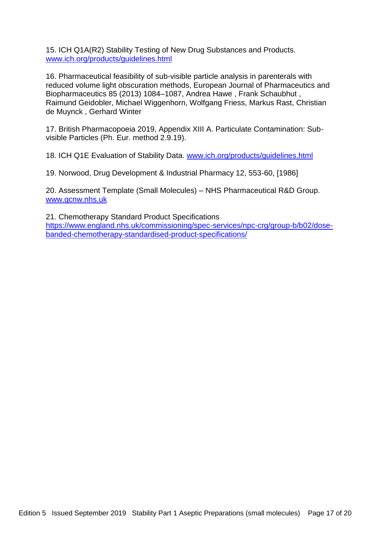15. ICH Q1A(R2) Stability Testing of New Drug Substances and Products. [www.ich.org/products/guidelines.html](http://www.ich.org/products/guidelines.html)

16. Pharmaceutical feasibility of sub-visible particle analysis in parenterals with reduced volume light obscuration methods, European Journal of Pharmaceutics and Biopharmaceutics 85 (2013) 1084–1087, Andrea Hawe , Frank Schaubhut , Raimund Geidobler, Michael Wiggenhorn, Wolfgang Friess, Markus Rast, Christian de Muynck , Gerhard Winter

17. British Pharmacopoeia 2019, Appendix XIII A. Particulate Contamination: Subvisible Particles (Ph. Eur. method 2.9.19).

18. ICH Q1E Evaluation of Stability Data. [www.ich.org/products/guidelines.html](http://www.ich.org/products/guidelines.html)

19. Norwood, Drug Development & Industrial Pharmacy 12, 553-60, [1986]

20. Assessment Template (Small Molecules) – NHS Pharmaceutical R&D Group. [www.qcnw.nhs.uk](http://www.qcnw.nhs.uk/)

21. Chemotherapy Standard Product Specifications [https://www.england.nhs.uk/commissioning/spec-services/npc-crg/group-b/b02/dose](https://www.england.nhs.uk/commissioning/spec-services/npc-crg/group-b/b02/dose-banded-chemotherapy-standardised-product-specifications/)[banded-chemotherapy-standardised-product-specifications/](https://www.england.nhs.uk/commissioning/spec-services/npc-crg/group-b/b02/dose-banded-chemotherapy-standardised-product-specifications/)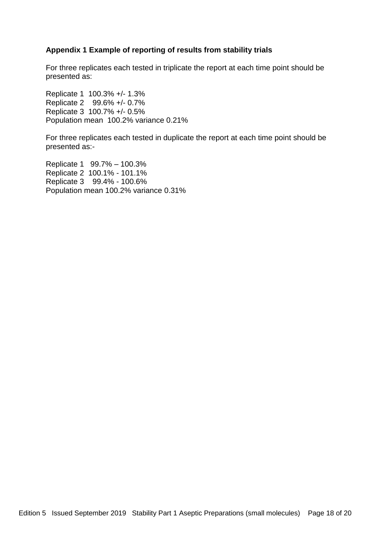## **Appendix 1 Example of reporting of results from stability trials**

For three replicates each tested in triplicate the report at each time point should be presented as:

Replicate 1 100.3% +/- 1.3% Replicate 2 99.6% +/- 0.7% Replicate 3 100.7% +/- 0.5% Population mean 100.2% variance 0.21%

For three replicates each tested in duplicate the report at each time point should be presented as:-

Replicate 1 99.7% – 100.3% Replicate 2 100.1% - 101.1% Replicate 3 99.4% - 100.6% Population mean 100.2% variance 0.31%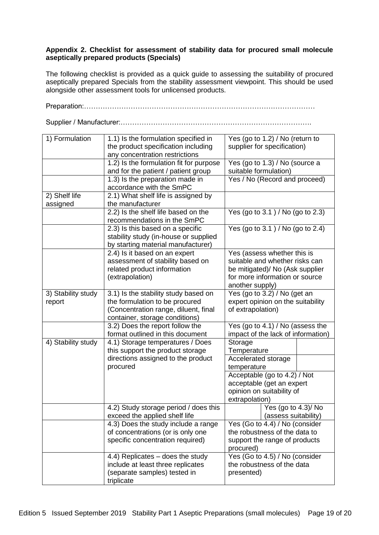#### **Appendix 2. Checklist for assessment of stability data for procured small molecule aseptically prepared products (Specials)**

The following checklist is provided as a quick guide to assessing the suitability of procured aseptically prepared Specials from the stability assessment viewpoint. This should be used alongside other assessment tools for unlicensed products.

Preparation:………………………………………………………………………………………

Supplier / Manufacturer:……………………………………………………………………….

| 1) Formulation     | 1.1) Is the formulation specified in                                   | Yes (go to 1.2) / No (return to            |  |
|--------------------|------------------------------------------------------------------------|--------------------------------------------|--|
|                    | the product specification including                                    | supplier for specification)                |  |
|                    | any concentration restrictions                                         |                                            |  |
|                    | 1.2) Is the formulation fit for purpose                                | Yes (go to 1.3) / No (source a             |  |
|                    | and for the patient / patient group                                    | suitable formulation)                      |  |
|                    | 1.3) Is the preparation made in                                        | Yes / No (Record and proceed)              |  |
|                    | accordance with the SmPC                                               |                                            |  |
| 2) Shelf life      | 2.1) What shelf life is assigned by                                    |                                            |  |
| assigned           | the manufacturer                                                       |                                            |  |
|                    | 2.2) Is the shelf life based on the                                    | Yes (go to 3.1) / No (go to 2.3)           |  |
|                    | recommendations in the SmPC                                            |                                            |  |
|                    | 2.3) Is this based on a specific                                       | Yes (go to 3.1) / No (go to 2.4)           |  |
|                    | stability study (in-house or supplied                                  |                                            |  |
|                    | by starting material manufacturer)                                     |                                            |  |
|                    | 2.4) Is it based on an expert                                          | Yes (assess whether this is                |  |
|                    | assessment of stability based on                                       | suitable and whether risks can             |  |
|                    | related product information                                            | be mitigated)/ No (Ask supplier            |  |
|                    | (extrapolation)                                                        | for more information or source             |  |
|                    |                                                                        | another supply)                            |  |
| 3) Stability study | 3.1) Is the stability study based on                                   | Yes (go to 3.2) / No (get an               |  |
| report             | the formulation to be procured                                         | expert opinion on the suitability          |  |
|                    | (Concentration range, diluent, final                                   | of extrapolation)                          |  |
|                    | container, storage conditions)                                         |                                            |  |
|                    | 3.2) Does the report follow the                                        | Yes (go to 4.1) / No (assess the           |  |
|                    | format outlined in this document                                       | impact of the lack of information)         |  |
| 4) Stability study | 4.1) Storage temperatures / Does                                       | Storage                                    |  |
|                    | this support the product storage                                       | Temperature                                |  |
|                    | directions assigned to the product                                     | Accelerated storage                        |  |
|                    | procured                                                               | temperature                                |  |
|                    |                                                                        | Acceptable (go to 4.2) / Not               |  |
|                    |                                                                        | acceptable (get an expert                  |  |
|                    |                                                                        | opinion on suitability of                  |  |
|                    |                                                                        | extrapolation)                             |  |
|                    | 4.2) Study storage period / does this<br>exceed the applied shelf life | Yes (go to 4.3)/No<br>(assess suitability) |  |
|                    | 4.3) Does the study include a range                                    | Yes (Go to 4.4) / No (consider             |  |
|                    | of concentrations (or is only one                                      | the robustness of the data to              |  |
|                    | specific concentration required)                                       | support the range of products              |  |
|                    |                                                                        | procured)                                  |  |
|                    | 4.4) Replicates - does the study                                       | Yes (Go to 4.5) / No (consider             |  |
|                    | include at least three replicates                                      | the robustness of the data                 |  |
|                    | (separate samples) tested in                                           | presented)                                 |  |
|                    | triplicate                                                             |                                            |  |